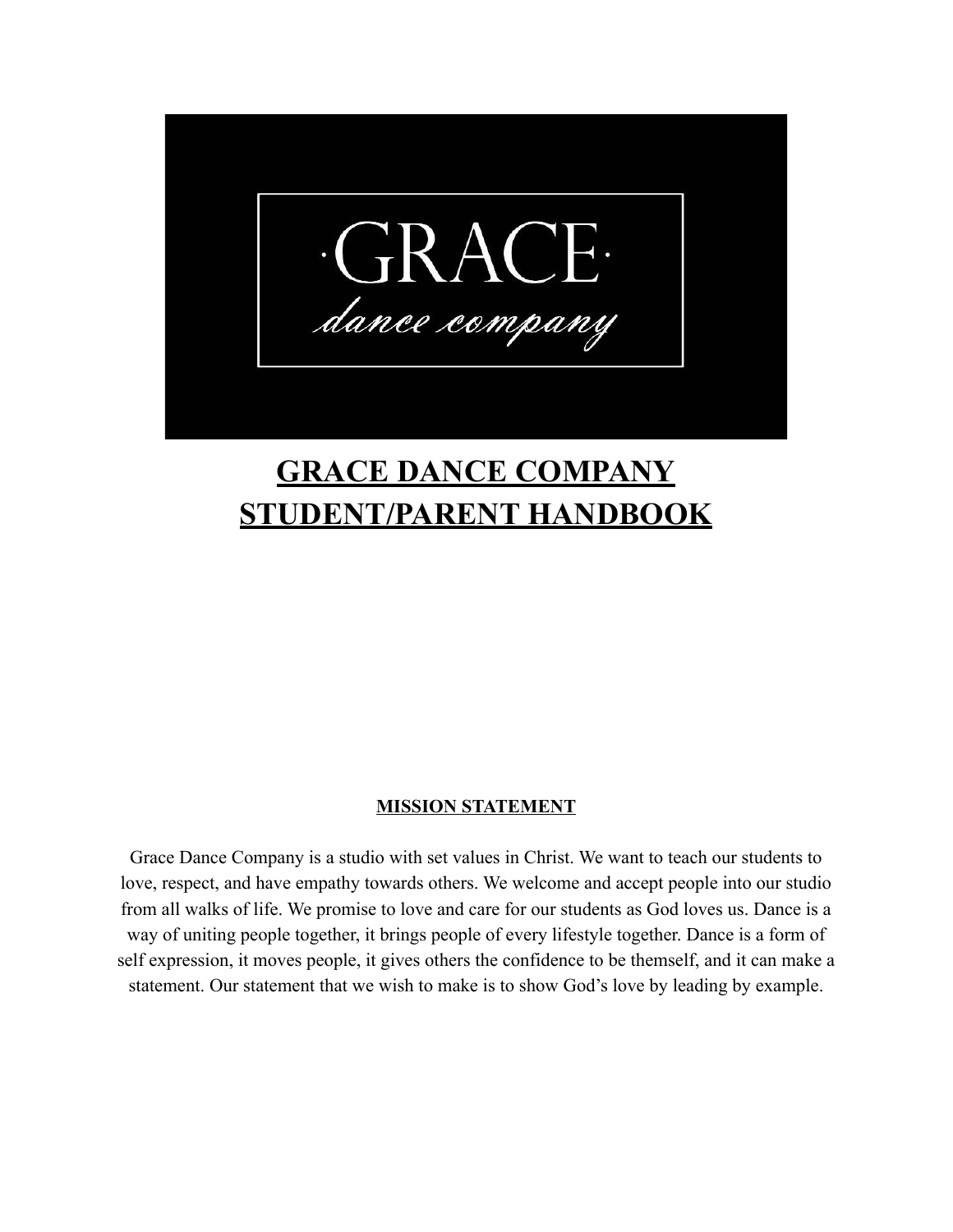

# **GRACE DANCE COMPANY STUDENT/PARENT HANDBOOK**

## **MISSION STATEMENT**

Grace Dance Company is a studio with set values in Christ. We want to teach our students to love, respect, and have empathy towards others. We welcome and accept people into our studio from all walks of life. We promise to love and care for our students as God loves us. Dance is a way of uniting people together, it brings people of every lifestyle together. Dance is a form of self expression, it moves people, it gives others the confidence to be themself, and it can make a statement. Our statement that we wish to make is to show God's love by leading by example.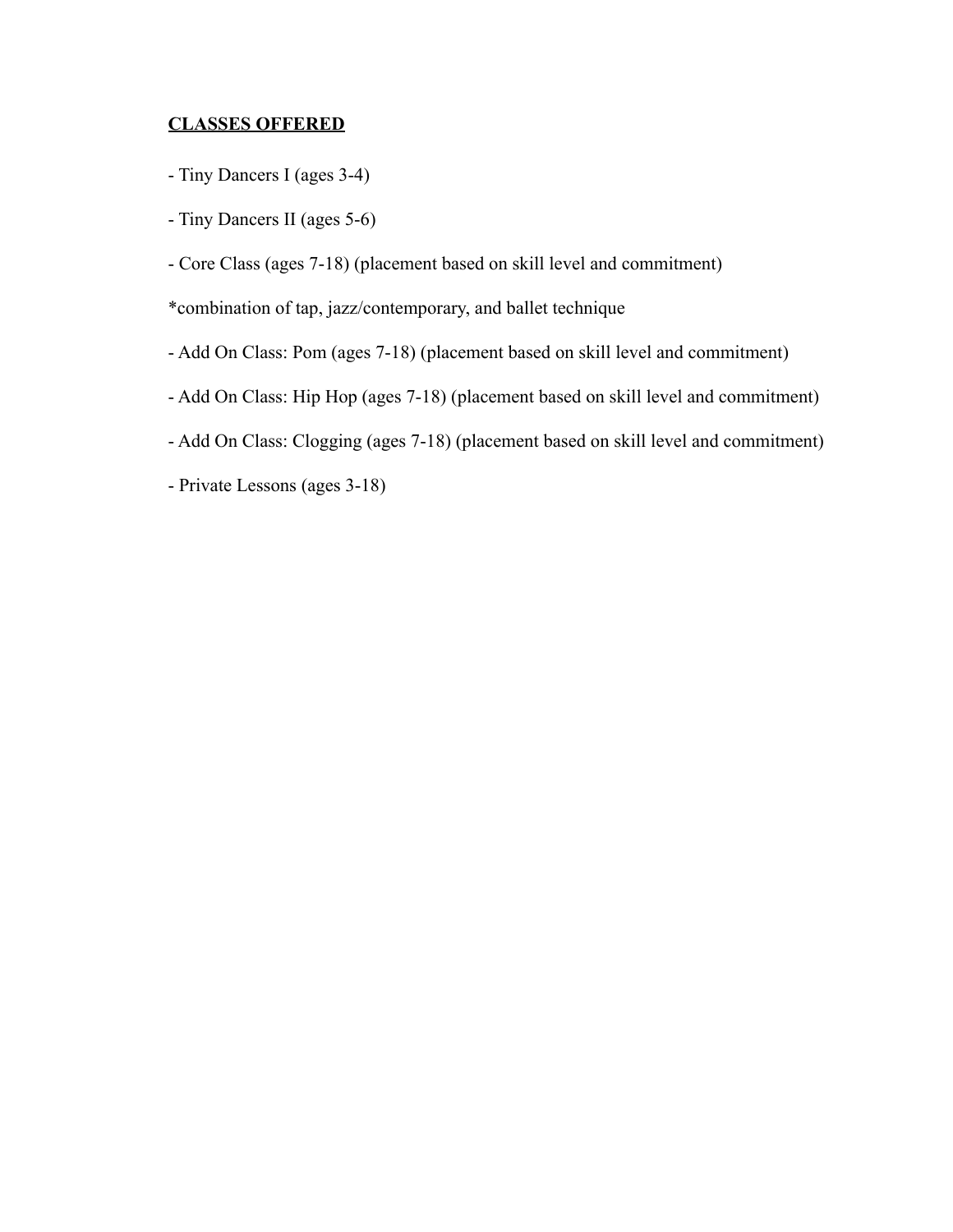## **CLASSES OFFERED**

- Tiny Dancers I (ages 3-4)
- Tiny Dancers II (ages 5-6)
- Core Class (ages 7-18) (placement based on skill level and commitment)
- \*combination of tap, jazz/contemporary, and ballet technique
- Add On Class: Pom (ages 7-18) (placement based on skill level and commitment)
- Add On Class: Hip Hop (ages 7-18) (placement based on skill level and commitment)
- Add On Class: Clogging (ages 7-18) (placement based on skill level and commitment)
- Private Lessons (ages 3-18)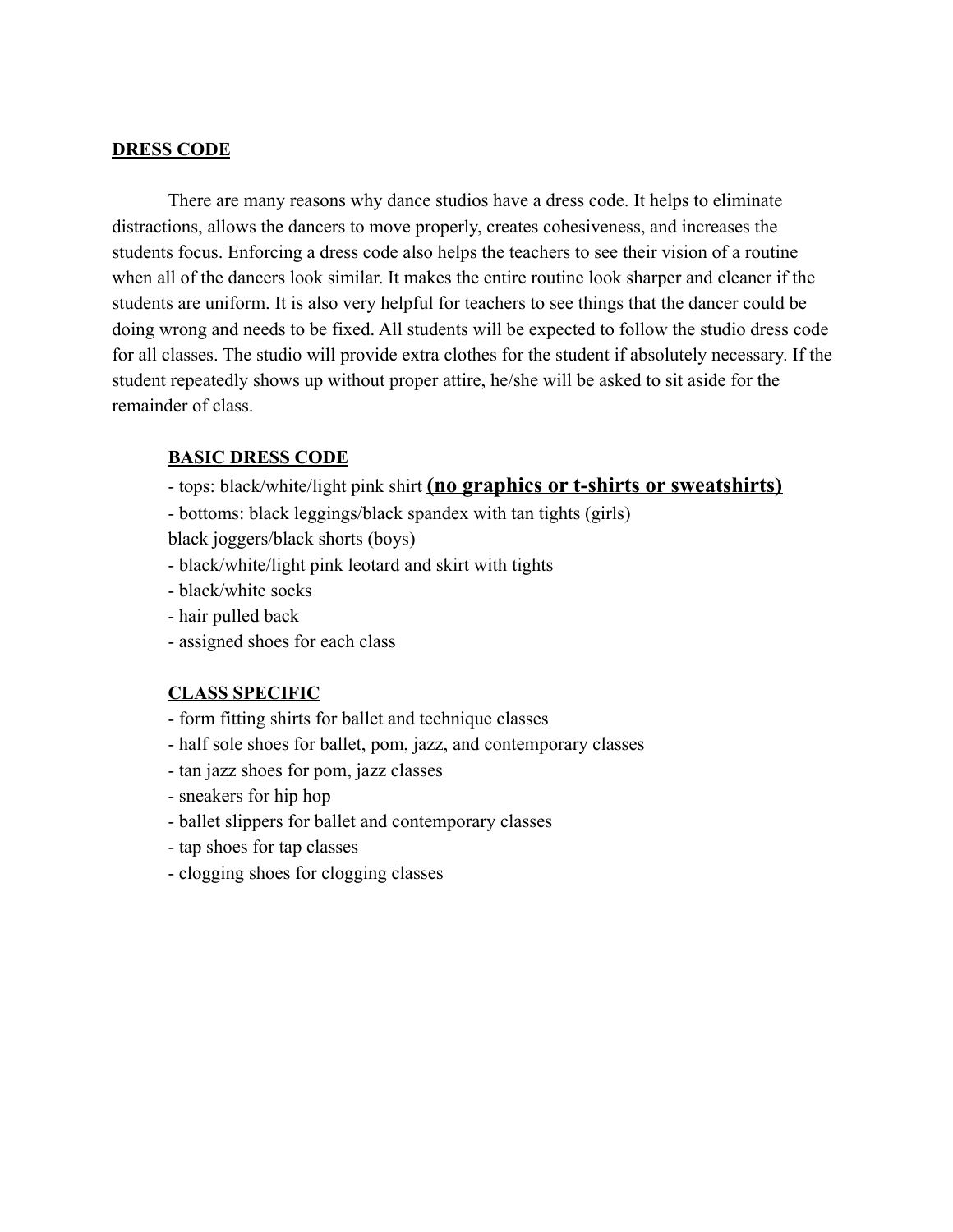## **DRESS CODE**

There are many reasons why dance studios have a dress code. It helps to eliminate distractions, allows the dancers to move properly, creates cohesiveness, and increases the students focus. Enforcing a dress code also helps the teachers to see their vision of a routine when all of the dancers look similar. It makes the entire routine look sharper and cleaner if the students are uniform. It is also very helpful for teachers to see things that the dancer could be doing wrong and needs to be fixed. All students will be expected to follow the studio dress code for all classes. The studio will provide extra clothes for the student if absolutely necessary. If the student repeatedly shows up without proper attire, he/she will be asked to sit aside for the remainder of class.

#### **BASIC DRESS CODE**

- tops: black/white/light pink shirt **(no graphics or t-shirts or sweatshirts)**
- bottoms: black leggings/black spandex with tan tights (girls)

black joggers/black shorts (boys)

- black/white/light pink leotard and skirt with tights
- black/white socks
- hair pulled back
- assigned shoes for each class

## **CLASS SPECIFIC**

- form fitting shirts for ballet and technique classes
- half sole shoes for ballet, pom, jazz, and contemporary classes
- tan jazz shoes for pom, jazz classes
- sneakers for hip hop
- ballet slippers for ballet and contemporary classes
- tap shoes for tap classes
- clogging shoes for clogging classes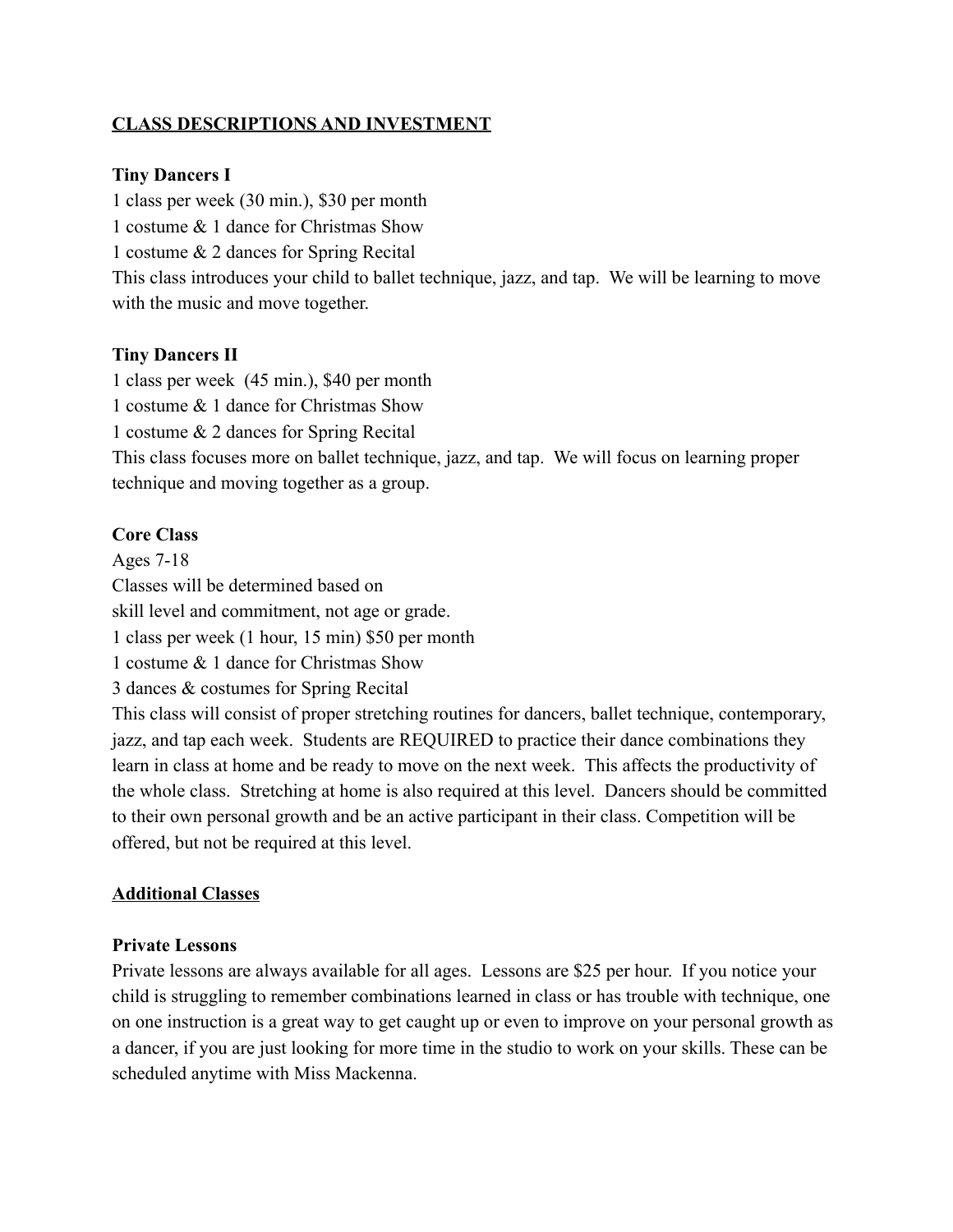## **CLASS DESCRIPTIONS AND INVESTMENT**

## **Tiny Dancers I**

1 class per week (30 min.), \$30 per month

1 costume & 1 dance for Christmas Show

1 costume & 2 dances for Spring Recital

This class introduces your child to ballet technique, jazz, and tap. We will be learning to move with the music and move together.

## **Tiny Dancers II**

1 class per week (45 min.), \$40 per month

1 costume & 1 dance for Christmas Show

1 costume & 2 dances for Spring Recital

This class focuses more on ballet technique, jazz, and tap. We will focus on learning proper technique and moving together as a group.

## **Core Class**

Ages 7-18

Classes will be determined based on

skill level and commitment, not age or grade.

1 class per week (1 hour, 15 min) \$50 per month

1 costume & 1 dance for Christmas Show

3 dances & costumes for Spring Recital

This class will consist of proper stretching routines for dancers, ballet technique, contemporary, jazz, and tap each week. Students are REQUIRED to practice their dance combinations they learn in class at home and be ready to move on the next week. This affects the productivity of the whole class. Stretching at home is also required at this level. Dancers should be committed to their own personal growth and be an active participant in their class. Competition will be offered, but not be required at this level.

## **Additional Classes**

## **Private Lessons**

Private lessons are always available for all ages. Lessons are \$25 per hour. If you notice your child is struggling to remember combinations learned in class or has trouble with technique, one on one instruction is a great way to get caught up or even to improve on your personal growth as a dancer, if you are just looking for more time in the studio to work on your skills. These can be scheduled anytime with Miss Mackenna.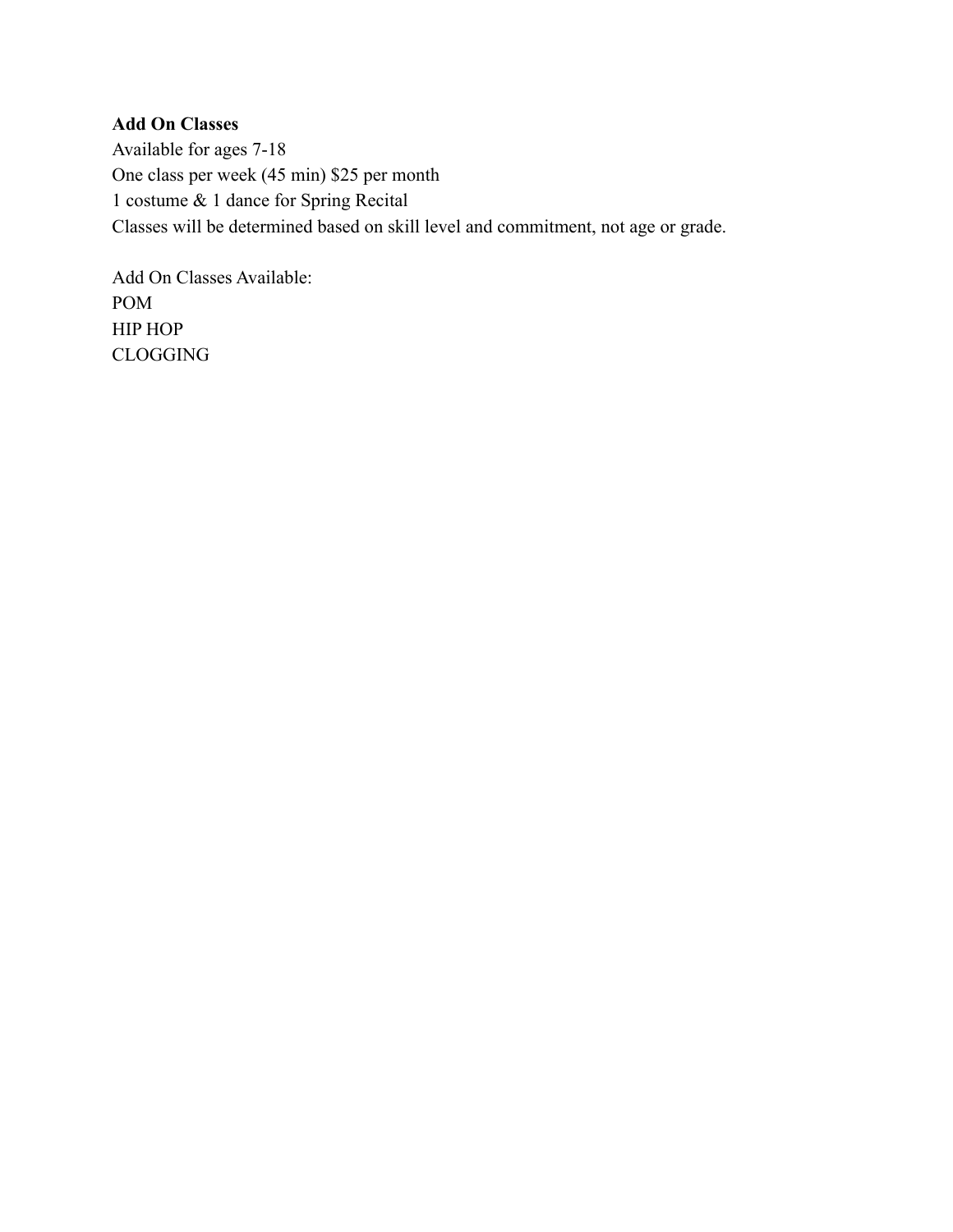## **Add On Classes**

Available for ages 7-18 One class per week (45 min) \$25 per month 1 costume & 1 dance for Spring Recital Classes will be determined based on skill level and commitment, not age or grade.

Add On Classes Available: POM HIP HOP CLOGGING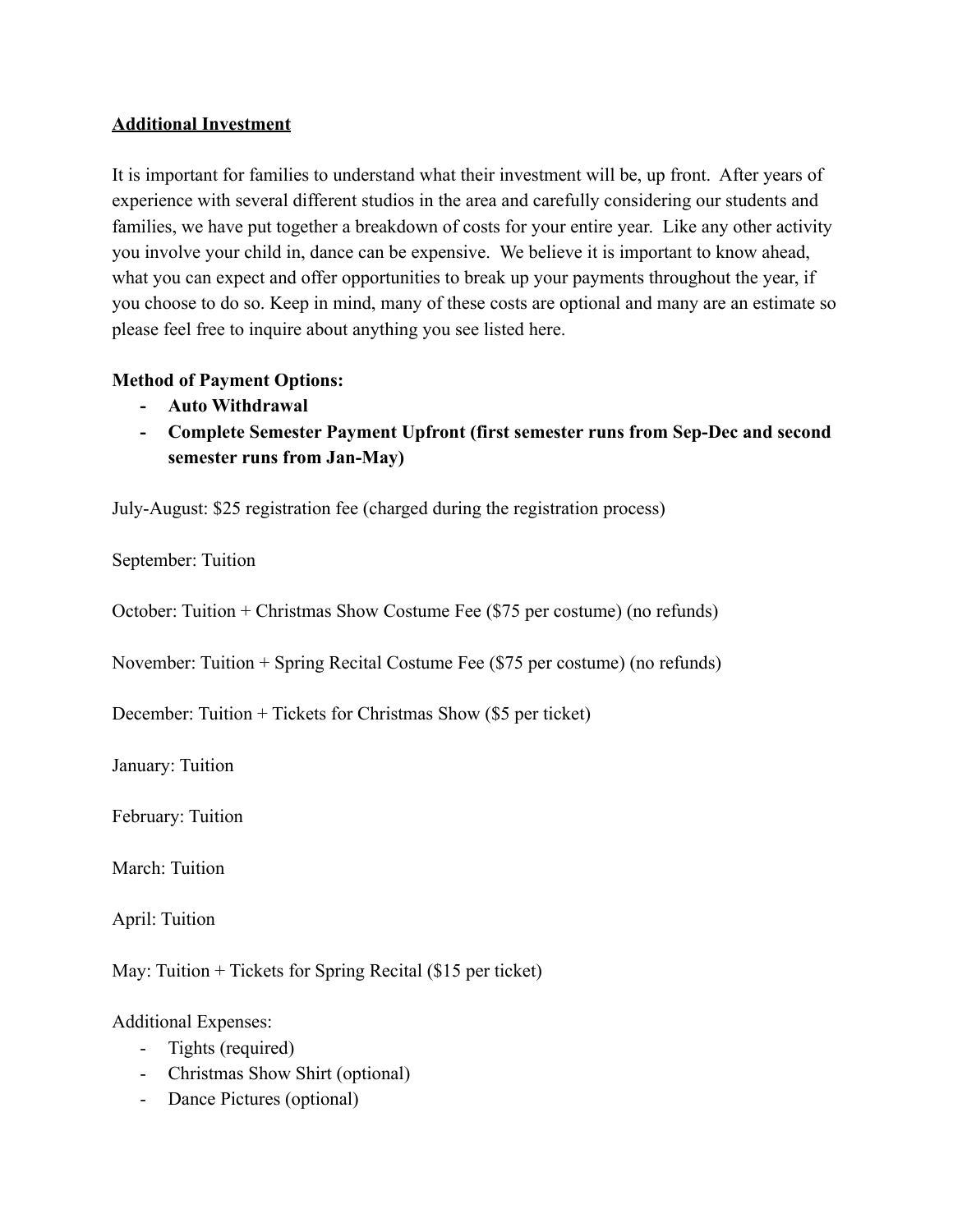## **Additional Investment**

It is important for families to understand what their investment will be, up front. After years of experience with several different studios in the area and carefully considering our students and families, we have put together a breakdown of costs for your entire year. Like any other activity you involve your child in, dance can be expensive. We believe it is important to know ahead, what you can expect and offer opportunities to break up your payments throughout the year, if you choose to do so. Keep in mind, many of these costs are optional and many are an estimate so please feel free to inquire about anything you see listed here.

## **Method of Payment Options:**

- **- Auto Withdrawal**
- **- Complete Semester Payment Upfront (first semester runs from Sep-Dec and second semester runs from Jan-May)**

July-August: \$25 registration fee (charged during the registration process)

September: Tuition

October: Tuition + Christmas Show Costume Fee (\$75 per costume) (no refunds)

November: Tuition + Spring Recital Costume Fee (\$75 per costume) (no refunds)

December: Tuition + Tickets for Christmas Show (\$5 per ticket)

January: Tuition

February: Tuition

March: Tuition

April: Tuition

May: Tuition + Tickets for Spring Recital (\$15 per ticket)

Additional Expenses:

- Tights (required)
- Christmas Show Shirt (optional)
- Dance Pictures (optional)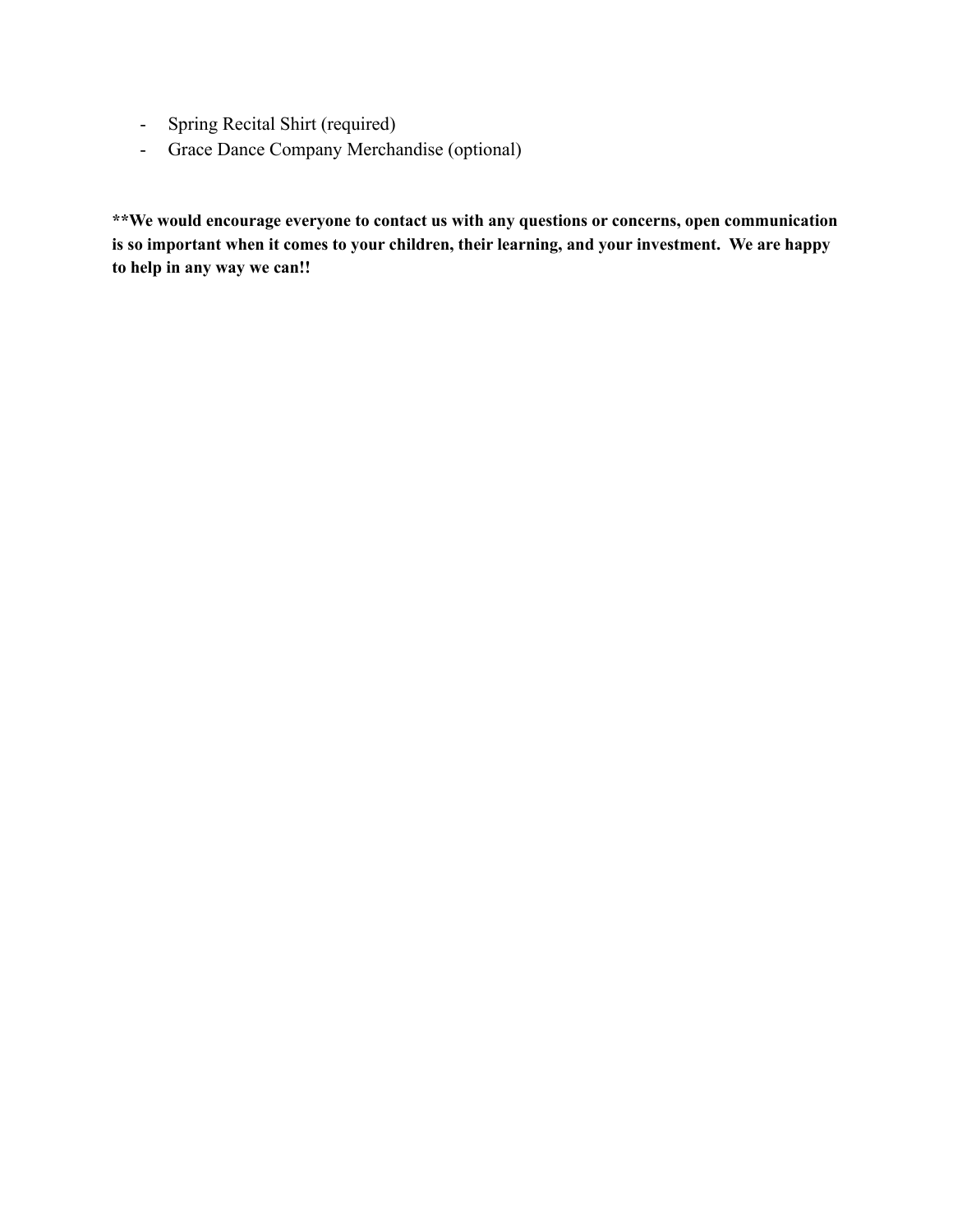- Spring Recital Shirt (required)
- Grace Dance Company Merchandise (optional)

**\*\*We would encourage everyone to contact us with any questions or concerns, open communication is so important when it comes to your children, their learning, and your investment. We are happy to help in any way we can!!**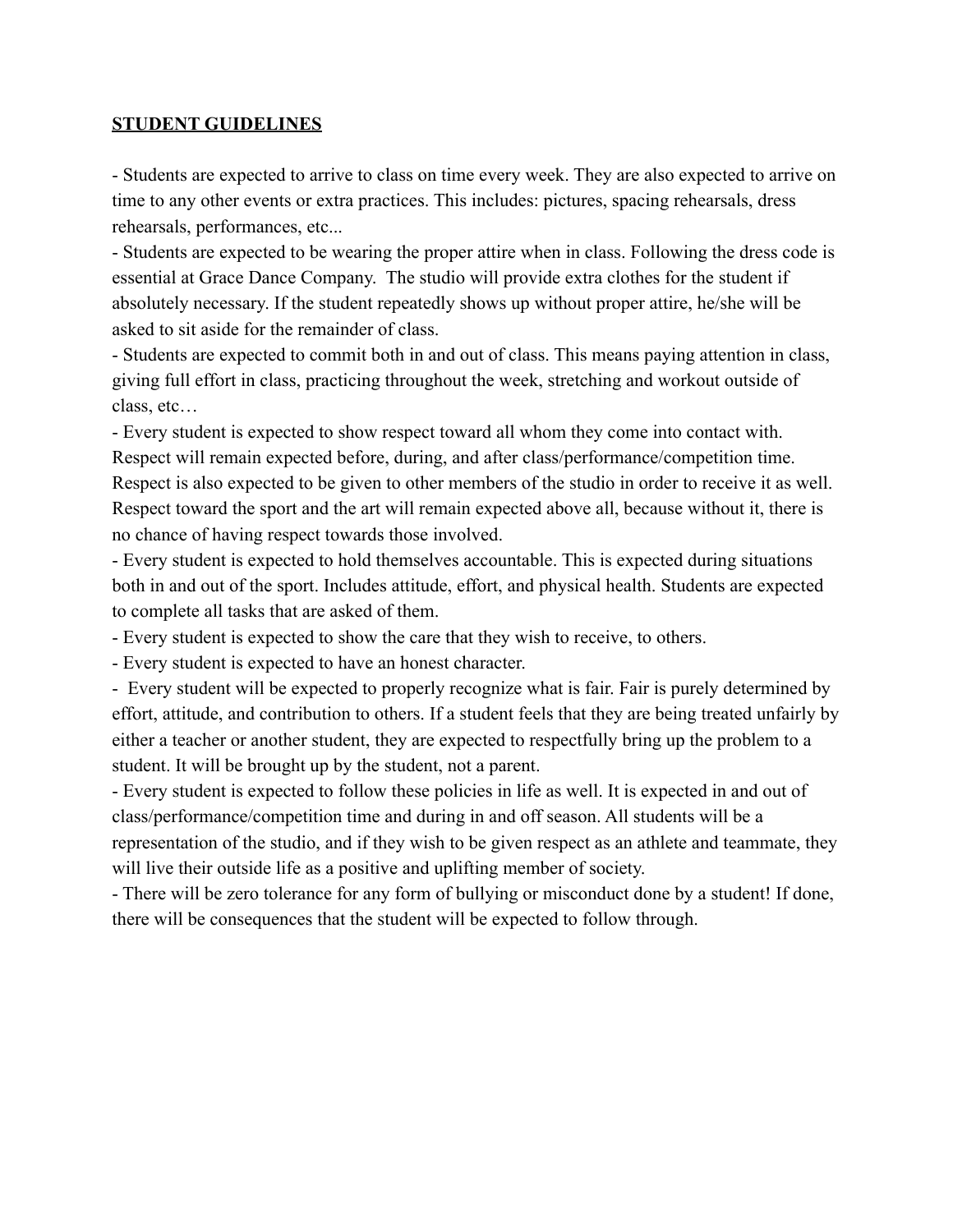## **STUDENT GUIDELINES**

- Students are expected to arrive to class on time every week. They are also expected to arrive on time to any other events or extra practices. This includes: pictures, spacing rehearsals, dress rehearsals, performances, etc...

- Students are expected to be wearing the proper attire when in class. Following the dress code is essential at Grace Dance Company. The studio will provide extra clothes for the student if absolutely necessary. If the student repeatedly shows up without proper attire, he/she will be asked to sit aside for the remainder of class.

- Students are expected to commit both in and out of class. This means paying attention in class, giving full effort in class, practicing throughout the week, stretching and workout outside of class, etc…

- Every student is expected to show respect toward all whom they come into contact with. Respect will remain expected before, during, and after class/performance/competition time. Respect is also expected to be given to other members of the studio in order to receive it as well. Respect toward the sport and the art will remain expected above all, because without it, there is no chance of having respect towards those involved.

- Every student is expected to hold themselves accountable. This is expected during situations both in and out of the sport. Includes attitude, effort, and physical health. Students are expected to complete all tasks that are asked of them.

- Every student is expected to show the care that they wish to receive, to others.

- Every student is expected to have an honest character.

- Every student will be expected to properly recognize what is fair. Fair is purely determined by effort, attitude, and contribution to others. If a student feels that they are being treated unfairly by either a teacher or another student, they are expected to respectfully bring up the problem to a student. It will be brought up by the student, not a parent.

- Every student is expected to follow these policies in life as well. It is expected in and out of class/performance/competition time and during in and off season. All students will be a representation of the studio, and if they wish to be given respect as an athlete and teammate, they will live their outside life as a positive and uplifting member of society.

- There will be zero tolerance for any form of bullying or misconduct done by a student! If done, there will be consequences that the student will be expected to follow through.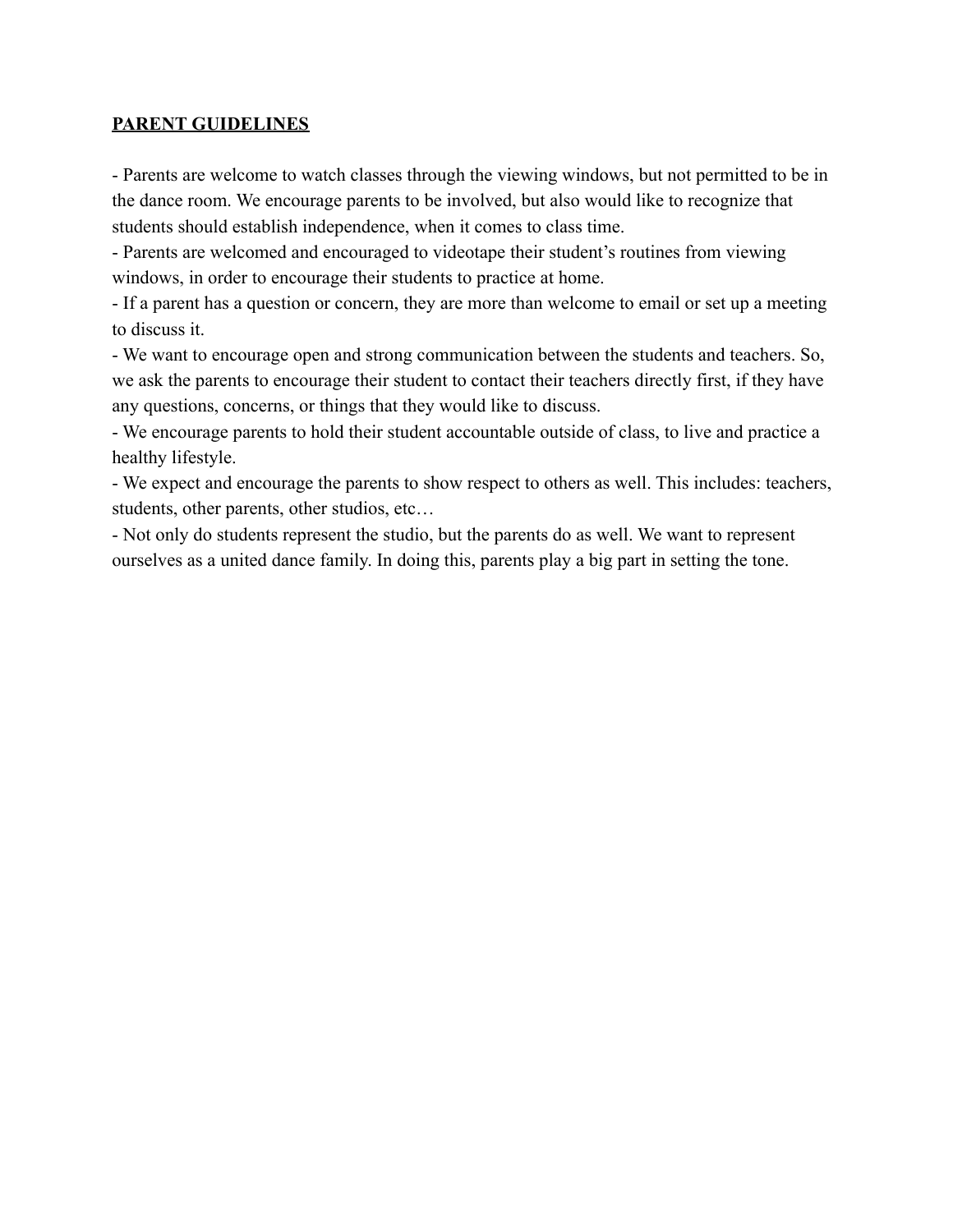## **PARENT GUIDELINES**

- Parents are welcome to watch classes through the viewing windows, but not permitted to be in the dance room. We encourage parents to be involved, but also would like to recognize that students should establish independence, when it comes to class time.

- Parents are welcomed and encouraged to videotape their student's routines from viewing windows, in order to encourage their students to practice at home.

- If a parent has a question or concern, they are more than welcome to email or set up a meeting to discuss it.

- We want to encourage open and strong communication between the students and teachers. So, we ask the parents to encourage their student to contact their teachers directly first, if they have any questions, concerns, or things that they would like to discuss.

- We encourage parents to hold their student accountable outside of class, to live and practice a healthy lifestyle.

- We expect and encourage the parents to show respect to others as well. This includes: teachers, students, other parents, other studios, etc…

- Not only do students represent the studio, but the parents do as well. We want to represent ourselves as a united dance family. In doing this, parents play a big part in setting the tone.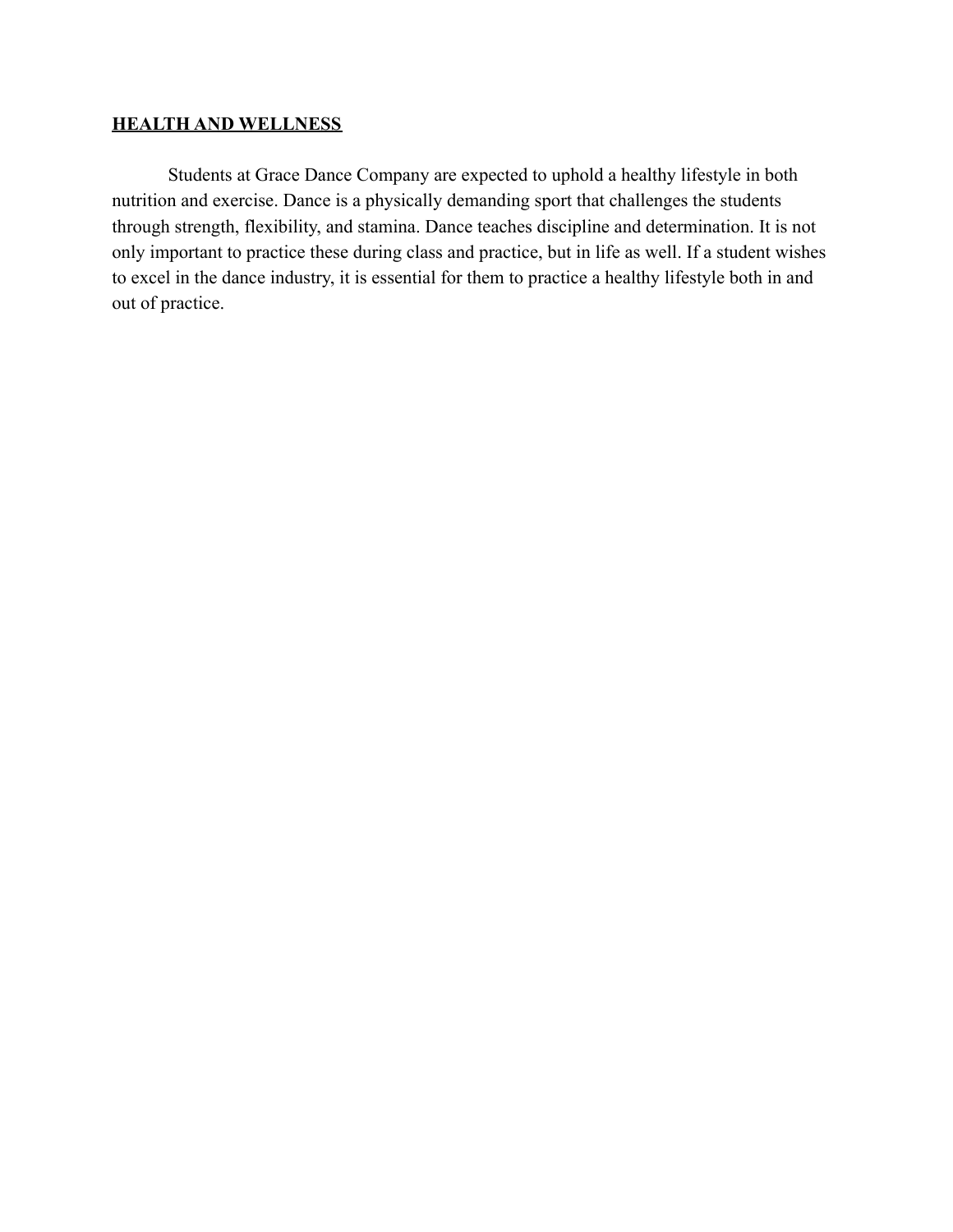## **HEALTH AND WELLNESS**

Students at Grace Dance Company are expected to uphold a healthy lifestyle in both nutrition and exercise. Dance is a physically demanding sport that challenges the students through strength, flexibility, and stamina. Dance teaches discipline and determination. It is not only important to practice these during class and practice, but in life as well. If a student wishes to excel in the dance industry, it is essential for them to practice a healthy lifestyle both in and out of practice.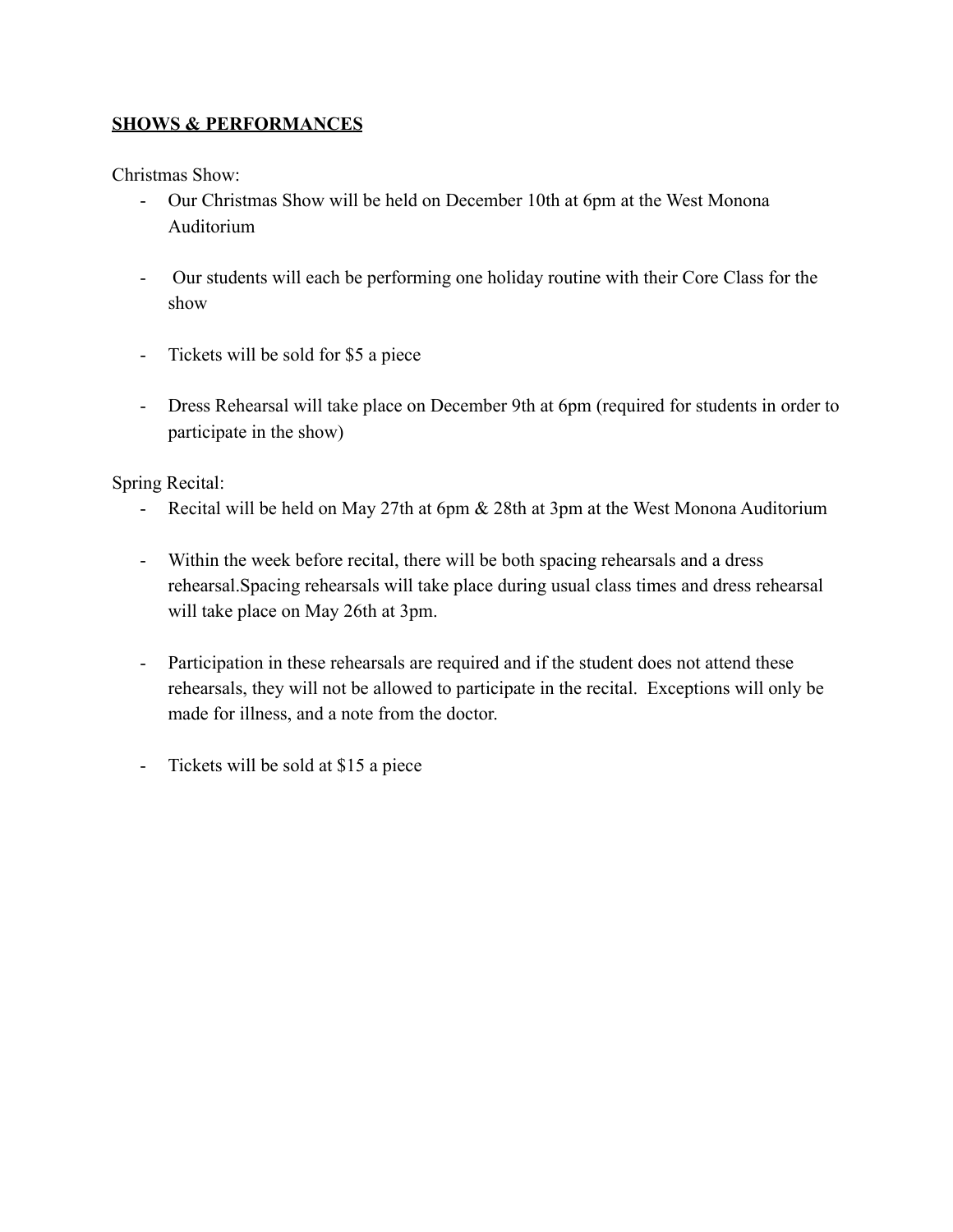## **SHOWS & PERFORMANCES**

Christmas Show:

- Our Christmas Show will be held on December 10th at 6pm at the West Monona Auditorium
- Our students will each be performing one holiday routine with their Core Class for the show
- Tickets will be sold for \$5 a piece
- Dress Rehearsal will take place on December 9th at 6pm (required for students in order to participate in the show)

Spring Recital:

- Recital will be held on May 27th at 6pm & 28th at 3pm at the West Monona Auditorium
- Within the week before recital, there will be both spacing rehearsals and a dress rehearsal.Spacing rehearsals will take place during usual class times and dress rehearsal will take place on May 26th at 3pm.
- Participation in these rehearsals are required and if the student does not attend these rehearsals, they will not be allowed to participate in the recital. Exceptions will only be made for illness, and a note from the doctor.
- Tickets will be sold at \$15 a piece